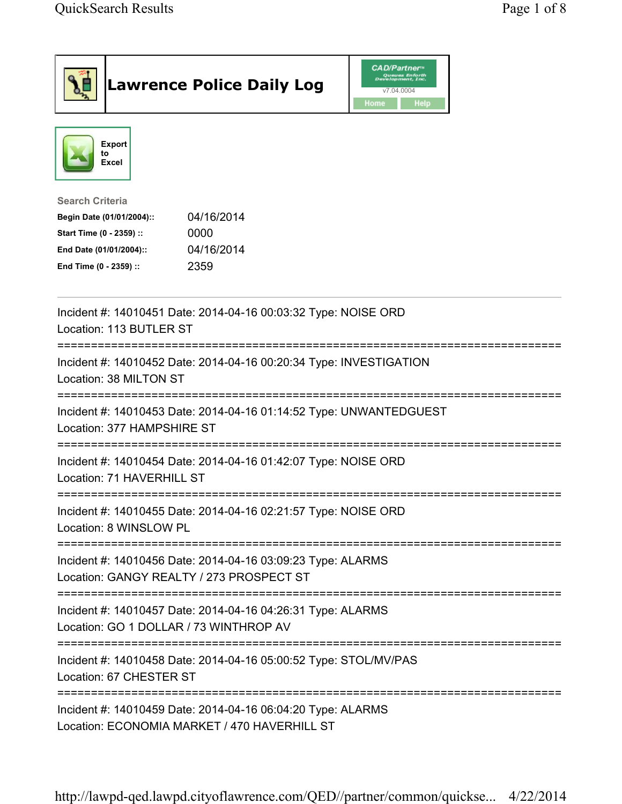| <b>Lawrence Police Daily Log</b>                                                                                                                                                 | <b>CAD/Partner</b> "<br>Queues Enforth<br>Development, Inc.<br>v7.04.0004<br><b>Home</b><br>Help |
|----------------------------------------------------------------------------------------------------------------------------------------------------------------------------------|--------------------------------------------------------------------------------------------------|
| Export<br>to<br>Excel                                                                                                                                                            |                                                                                                  |
| <b>Search Criteria</b><br>04/16/2014<br>Begin Date (01/01/2004)::<br>0000<br>Start Time (0 - 2359) ::<br>04/16/2014<br>End Date (01/01/2004)::<br>2359<br>End Time (0 - 2359) :: |                                                                                                  |
| Incident #: 14010451 Date: 2014-04-16 00:03:32 Type: NOISE ORD<br>Location: 113 BUTLER ST                                                                                        |                                                                                                  |
| Incident #: 14010452 Date: 2014-04-16 00:20:34 Type: INVESTIGATION<br>Location: 38 MILTON ST                                                                                     |                                                                                                  |
| Incident #: 14010453 Date: 2014-04-16 01:14:52 Type: UNWANTEDGUEST<br>Location: 377 HAMPSHIRE ST                                                                                 |                                                                                                  |
| Incident #: 14010454 Date: 2014-04-16 01:42:07 Type: NOISE ORD<br>Location: 71 HAVERHILL ST                                                                                      |                                                                                                  |
| Incident #: 14010455 Date: 2014-04-16 02:21:57 Type: NOISE ORD<br>Location: 8 WINSLOW PL                                                                                         |                                                                                                  |
| Incident #: 14010456 Date: 2014-04-16 03:09:23 Type: ALARMS<br>Location: GANGY REALTY / 273 PROSPECT ST                                                                          |                                                                                                  |
| ___________________________________<br>Incident #: 14010457 Date: 2014-04-16 04:26:31 Type: ALARMS<br>Location: GO 1 DOLLAR / 73 WINTHROP AV                                     |                                                                                                  |
| Incident #: 14010458 Date: 2014-04-16 05:00:52 Type: STOL/MV/PAS<br>Location: 67 CHESTER ST                                                                                      |                                                                                                  |
| Incident #: 14010459 Date: 2014-04-16 06:04:20 Type: ALARMS<br>Location: ECONOMIA MARKET / 470 HAVERHILL ST                                                                      |                                                                                                  |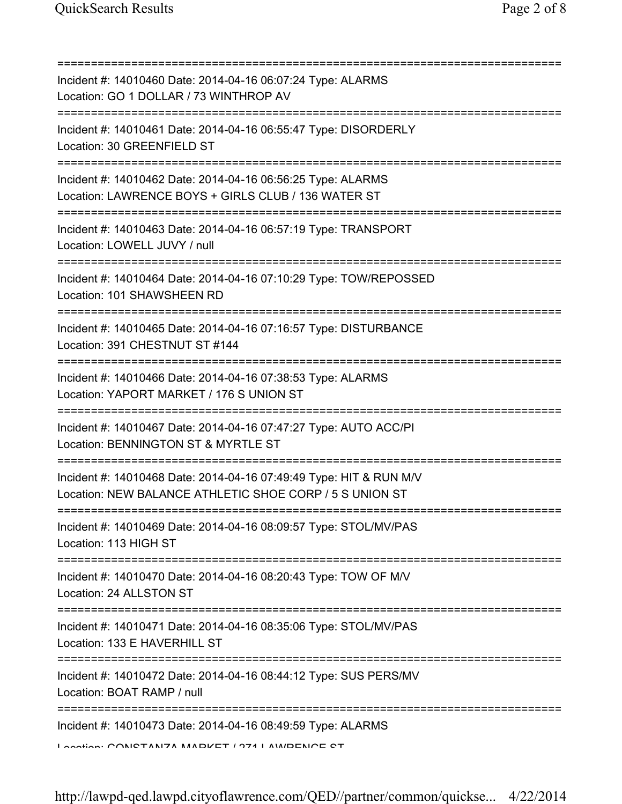| Incident #: 14010460 Date: 2014-04-16 06:07:24 Type: ALARMS<br>Location: GO 1 DOLLAR / 73 WINTHROP AV                              |
|------------------------------------------------------------------------------------------------------------------------------------|
| Incident #: 14010461 Date: 2014-04-16 06:55:47 Type: DISORDERLY<br>Location: 30 GREENFIELD ST                                      |
| Incident #: 14010462 Date: 2014-04-16 06:56:25 Type: ALARMS<br>Location: LAWRENCE BOYS + GIRLS CLUB / 136 WATER ST                 |
| Incident #: 14010463 Date: 2014-04-16 06:57:19 Type: TRANSPORT<br>Location: LOWELL JUVY / null                                     |
| Incident #: 14010464 Date: 2014-04-16 07:10:29 Type: TOW/REPOSSED<br>Location: 101 SHAWSHEEN RD                                    |
| Incident #: 14010465 Date: 2014-04-16 07:16:57 Type: DISTURBANCE<br>Location: 391 CHESTNUT ST #144                                 |
| Incident #: 14010466 Date: 2014-04-16 07:38:53 Type: ALARMS<br>Location: YAPORT MARKET / 176 S UNION ST                            |
| Incident #: 14010467 Date: 2014-04-16 07:47:27 Type: AUTO ACC/PI<br>Location: BENNINGTON ST & MYRTLE ST<br>======================= |
| Incident #: 14010468 Date: 2014-04-16 07:49:49 Type: HIT & RUN M/V<br>Location: NEW BALANCE ATHLETIC SHOE CORP / 5 S UNION ST      |
| Incident #: 14010469 Date: 2014-04-16 08:09:57 Type: STOL/MV/PAS<br>Location: 113 HIGH ST                                          |
| Incident #: 14010470 Date: 2014-04-16 08:20:43 Type: TOW OF M/V<br>Location: 24 ALLSTON ST                                         |
| Incident #: 14010471 Date: 2014-04-16 08:35:06 Type: STOL/MV/PAS<br>Location: 133 E HAVERHILL ST                                   |
| Incident #: 14010472 Date: 2014-04-16 08:44:12 Type: SUS PERS/MV<br>Location: BOAT RAMP / null                                     |
| Incident #: 14010473 Date: 2014-04-16 08:49:59 Type: ALARMS<br>Lootion: CONICTANIZA MADIZET / 074 LAMIDENICE CT                    |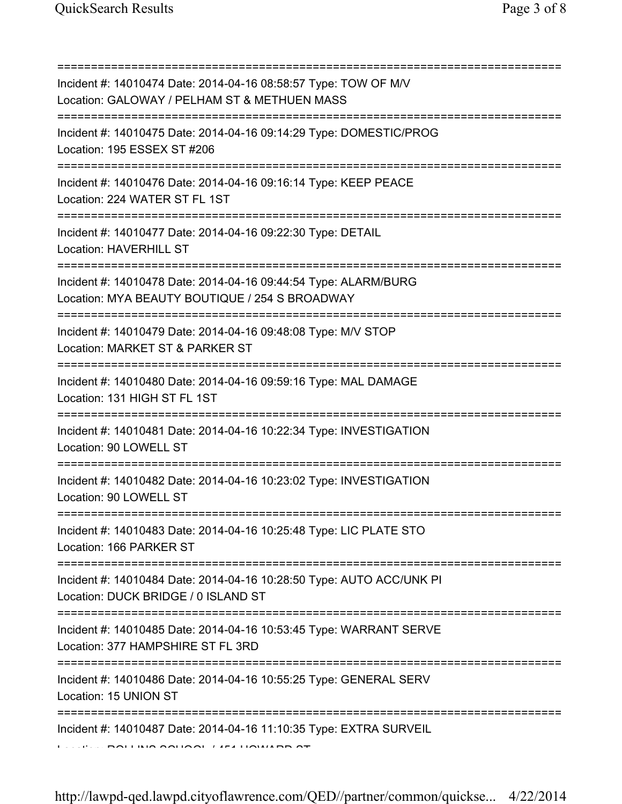=========================================================================== Incident #: 14010474 Date: 2014-04-16 08:58:57 Type: TOW OF M/V Location: GALOWAY / PELHAM ST & METHUEN MASS =========================================================================== Incident #: 14010475 Date: 2014-04-16 09:14:29 Type: DOMESTIC/PROG Location: 195 ESSEX ST #206 =========================================================================== Incident #: 14010476 Date: 2014-04-16 09:16:14 Type: KEEP PEACE Location: 224 WATER ST FL 1ST =========================================================================== Incident #: 14010477 Date: 2014-04-16 09:22:30 Type: DETAIL Location: HAVERHILL ST =========================================================================== Incident #: 14010478 Date: 2014-04-16 09:44:54 Type: ALARM/BURG Location: MYA BEAUTY BOUTIQUE / 254 S BROADWAY =========================================================================== Incident #: 14010479 Date: 2014-04-16 09:48:08 Type: M/V STOP Location: MARKET ST & PARKER ST =========================================================================== Incident #: 14010480 Date: 2014-04-16 09:59:16 Type: MAL DAMAGE Location: 131 HIGH ST FL 1ST =========================================================================== Incident #: 14010481 Date: 2014-04-16 10:22:34 Type: INVESTIGATION Location: 90 LOWELL ST =========================================================================== Incident #: 14010482 Date: 2014-04-16 10:23:02 Type: INVESTIGATION Location: 90 LOWELL ST =========================================================================== Incident #: 14010483 Date: 2014-04-16 10:25:48 Type: LIC PLATE STO Location: 166 PARKER ST =========================================================================== Incident #: 14010484 Date: 2014-04-16 10:28:50 Type: AUTO ACC/UNK PI Location: DUCK BRIDGE / 0 ISLAND ST =========================================================================== Incident #: 14010485 Date: 2014-04-16 10:53:45 Type: WARRANT SERVE Location: 377 HAMPSHIRE ST FL 3RD =========================================================================== Incident #: 14010486 Date: 2014-04-16 10:55:25 Type: GENERAL SERV Location: 15 UNION ST =========================================================================== Incident #: 14010487 Date: 2014-04-16 11:10:35 Type: EXTRA SURVEIL  $\mathbb{L}$  . ROLLING SCHOOL / 451 HOWARD ST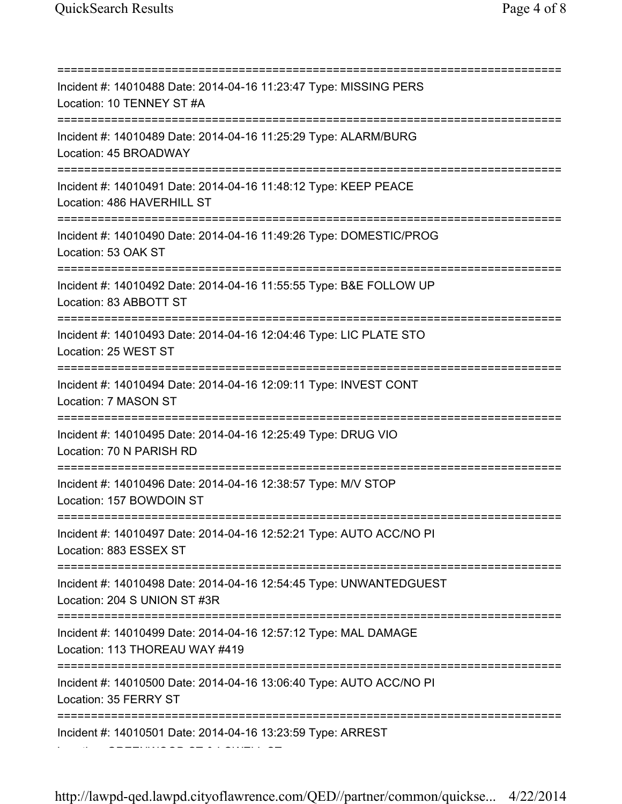=========================================================================== Incident #: 14010488 Date: 2014-04-16 11:23:47 Type: MISSING PERS Location: 10 TENNEY ST #A =========================================================================== Incident #: 14010489 Date: 2014-04-16 11:25:29 Type: ALARM/BURG Location: 45 BROADWAY =========================================================================== Incident #: 14010491 Date: 2014-04-16 11:48:12 Type: KEEP PEACE Location: 486 HAVERHILL ST =========================================================================== Incident #: 14010490 Date: 2014-04-16 11:49:26 Type: DOMESTIC/PROG Location: 53 OAK ST =========================================================================== Incident #: 14010492 Date: 2014-04-16 11:55:55 Type: B&E FOLLOW UP Location: 83 ABBOTT ST =========================================================================== Incident #: 14010493 Date: 2014-04-16 12:04:46 Type: LIC PLATE STO Location: 25 WEST ST =========================================================================== Incident #: 14010494 Date: 2014-04-16 12:09:11 Type: INVEST CONT Location: 7 MASON ST =========================================================================== Incident #: 14010495 Date: 2014-04-16 12:25:49 Type: DRUG VIO Location: 70 N PARISH RD =========================================================================== Incident #: 14010496 Date: 2014-04-16 12:38:57 Type: M/V STOP Location: 157 BOWDOIN ST =========================================================================== Incident #: 14010497 Date: 2014-04-16 12:52:21 Type: AUTO ACC/NO PI Location: 883 ESSEX ST =========================================================================== Incident #: 14010498 Date: 2014-04-16 12:54:45 Type: UNWANTEDGUEST Location: 204 S UNION ST #3R =========================================================================== Incident #: 14010499 Date: 2014-04-16 12:57:12 Type: MAL DAMAGE Location: 113 THOREAU WAY #419 =========================================================================== Incident #: 14010500 Date: 2014-04-16 13:06:40 Type: AUTO ACC/NO PI Location: 35 FERRY ST =========================================================================== Incident #: 14010501 Date: 2014-04-16 13:23:59 Type: ARREST Location: GREENWOOD ST & LOWELL ST

http://lawpd-qed.lawpd.cityoflawrence.com/QED//partner/common/quickse... 4/22/2014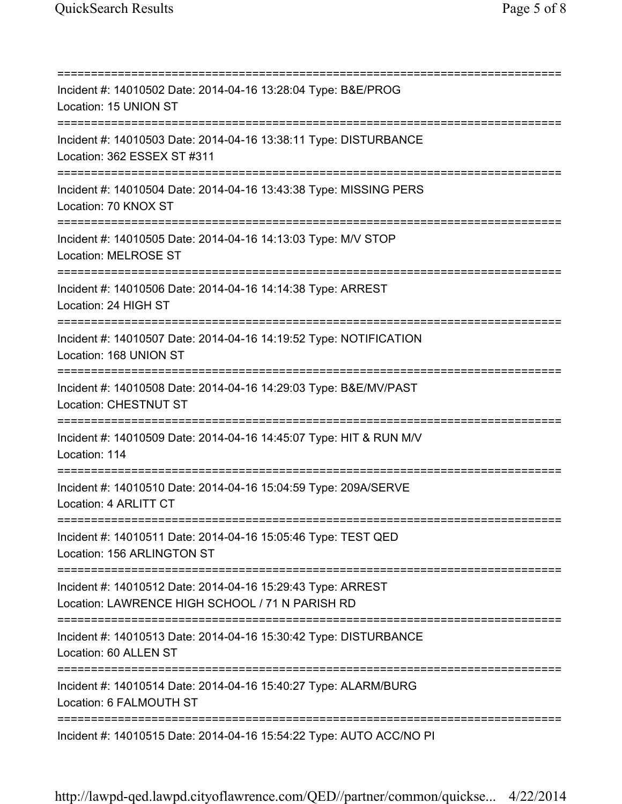=========================================================================== Incident #: 14010502 Date: 2014-04-16 13:28:04 Type: B&E/PROG Location: 15 UNION ST =========================================================================== Incident #: 14010503 Date: 2014-04-16 13:38:11 Type: DISTURBANCE Location: 362 ESSEX ST #311 =========================================================================== Incident #: 14010504 Date: 2014-04-16 13:43:38 Type: MISSING PERS Location: 70 KNOX ST =========================================================================== Incident #: 14010505 Date: 2014-04-16 14:13:03 Type: M/V STOP Location: MELROSE ST =========================================================================== Incident #: 14010506 Date: 2014-04-16 14:14:38 Type: ARREST Location: 24 HIGH ST =========================================================================== Incident #: 14010507 Date: 2014-04-16 14:19:52 Type: NOTIFICATION Location: 168 UNION ST =========================================================================== Incident #: 14010508 Date: 2014-04-16 14:29:03 Type: B&E/MV/PAST Location: CHESTNUT ST =========================================================================== Incident #: 14010509 Date: 2014-04-16 14:45:07 Type: HIT & RUN M/V Location: 114 =========================================================================== Incident #: 14010510 Date: 2014-04-16 15:04:59 Type: 209A/SERVE Location: 4 ARLITT CT =========================================================================== Incident #: 14010511 Date: 2014-04-16 15:05:46 Type: TEST QED Location: 156 ARLINGTON ST =========================================================================== Incident #: 14010512 Date: 2014-04-16 15:29:43 Type: ARREST Location: LAWRENCE HIGH SCHOOL / 71 N PARISH RD =========================================================================== Incident #: 14010513 Date: 2014-04-16 15:30:42 Type: DISTURBANCE Location: 60 ALLEN ST =========================================================================== Incident #: 14010514 Date: 2014-04-16 15:40:27 Type: ALARM/BURG Location: 6 FALMOUTH ST =========================================================================== Incident #: 14010515 Date: 2014-04-16 15:54:22 Type: AUTO ACC/NO PI

http://lawpd-qed.lawpd.cityoflawrence.com/QED//partner/common/quickse... 4/22/2014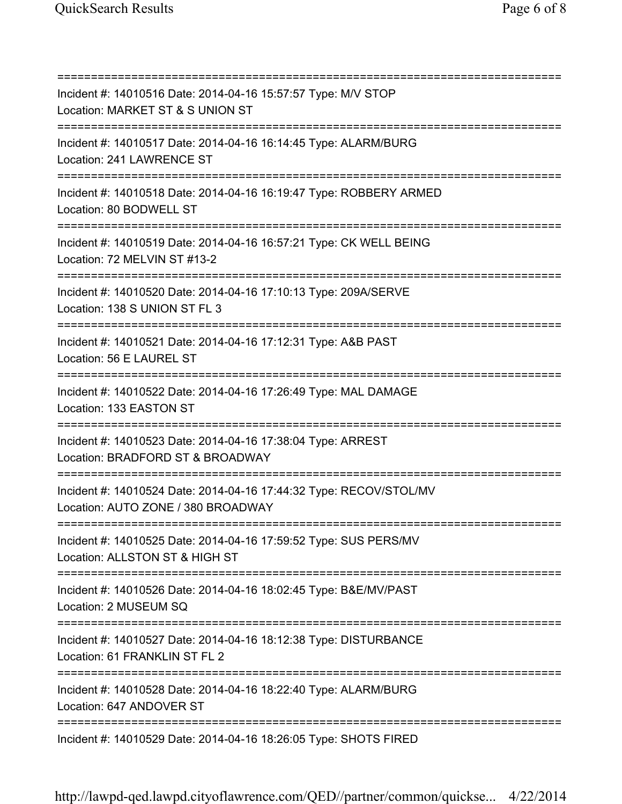=========================================================================== Incident #: 14010516 Date: 2014-04-16 15:57:57 Type: M/V STOP Location: MARKET ST & S UNION ST =========================================================================== Incident #: 14010517 Date: 2014-04-16 16:14:45 Type: ALARM/BURG Location: 241 LAWRENCE ST =========================================================================== Incident #: 14010518 Date: 2014-04-16 16:19:47 Type: ROBBERY ARMED Location: 80 BODWELL ST =========================================================================== Incident #: 14010519 Date: 2014-04-16 16:57:21 Type: CK WELL BEING Location: 72 MELVIN ST #13-2 =========================================================================== Incident #: 14010520 Date: 2014-04-16 17:10:13 Type: 209A/SERVE Location: 138 S UNION ST FL 3 =========================================================================== Incident #: 14010521 Date: 2014-04-16 17:12:31 Type: A&B PAST Location: 56 E LAUREL ST =========================================================================== Incident #: 14010522 Date: 2014-04-16 17:26:49 Type: MAL DAMAGE Location: 133 EASTON ST =========================================================================== Incident #: 14010523 Date: 2014-04-16 17:38:04 Type: ARREST Location: BRADFORD ST & BROADWAY =========================================================================== Incident #: 14010524 Date: 2014-04-16 17:44:32 Type: RECOV/STOL/MV Location: AUTO ZONE / 380 BROADWAY =========================================================================== Incident #: 14010525 Date: 2014-04-16 17:59:52 Type: SUS PERS/MV Location: ALLSTON ST & HIGH ST =========================================================================== Incident #: 14010526 Date: 2014-04-16 18:02:45 Type: B&E/MV/PAST Location: 2 MUSEUM SQ =========================================================================== Incident #: 14010527 Date: 2014-04-16 18:12:38 Type: DISTURBANCE Location: 61 FRANKLIN ST FL 2 =========================================================================== Incident #: 14010528 Date: 2014-04-16 18:22:40 Type: ALARM/BURG Location: 647 ANDOVER ST =========================================================================== Incident #: 14010529 Date: 2014-04-16 18:26:05 Type: SHOTS FIRED

http://lawpd-qed.lawpd.cityoflawrence.com/QED//partner/common/quickse... 4/22/2014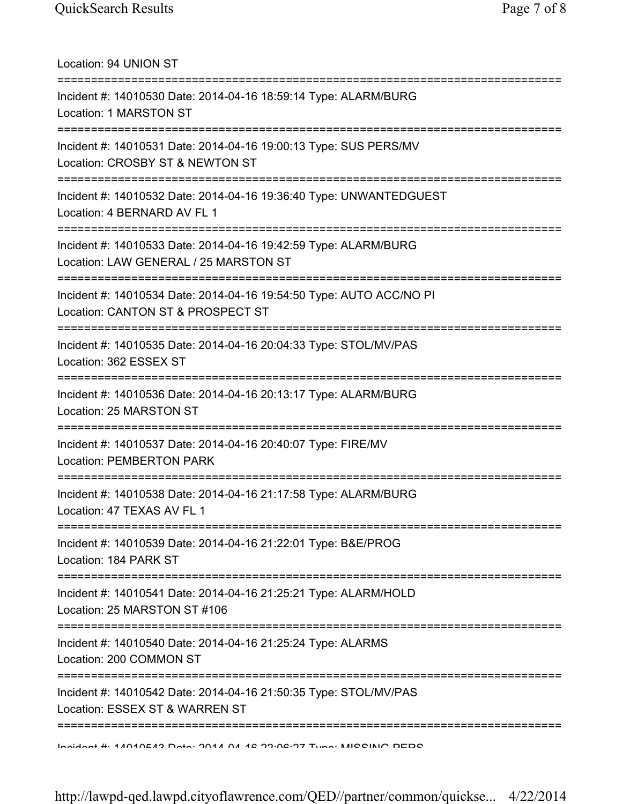| Location: 94 UNION ST                                                                                                                  |
|----------------------------------------------------------------------------------------------------------------------------------------|
| Incident #: 14010530 Date: 2014-04-16 18:59:14 Type: ALARM/BURG<br>Location: 1 MARSTON ST                                              |
| Incident #: 14010531 Date: 2014-04-16 19:00:13 Type: SUS PERS/MV<br>Location: CROSBY ST & NEWTON ST<br>----------                      |
| Incident #: 14010532 Date: 2014-04-16 19:36:40 Type: UNWANTEDGUEST<br>Location: 4 BERNARD AV FL 1                                      |
| Incident #: 14010533 Date: 2014-04-16 19:42:59 Type: ALARM/BURG<br>Location: LAW GENERAL / 25 MARSTON ST<br>-------------------------- |
| Incident #: 14010534 Date: 2014-04-16 19:54:50 Type: AUTO ACC/NO PI<br>Location: CANTON ST & PROSPECT ST                               |
| Incident #: 14010535 Date: 2014-04-16 20:04:33 Type: STOL/MV/PAS<br>Location: 362 ESSEX ST                                             |
| Incident #: 14010536 Date: 2014-04-16 20:13:17 Type: ALARM/BURG<br>Location: 25 MARSTON ST                                             |
| Incident #: 14010537 Date: 2014-04-16 20:40:07 Type: FIRE/MV<br><b>Location: PEMBERTON PARK</b>                                        |
| Incident #: 14010538 Date: 2014-04-16 21:17:58 Type: ALARM/BURG<br>Location: 47 TEXAS AV FL 1                                          |
| Incident #: 14010539 Date: 2014-04-16 21:22:01 Type: B&E/PROG<br>Location: 184 PARK ST                                                 |
| Incident #: 14010541 Date: 2014-04-16 21:25:21 Type: ALARM/HOLD<br>Location: 25 MARSTON ST #106                                        |
| Incident #: 14010540 Date: 2014-04-16 21:25:24 Type: ALARMS<br>Location: 200 COMMON ST                                                 |
| Incident #: 14010542 Date: 2014-04-16 21:50:35 Type: STOL/MV/PAS<br>Location: ESSEX ST & WARREN ST                                     |
| Incident # 4 ANANEAS Dotal OAA A AA 42 99.02.07 Tune: MICOINIO DEDO                                                                    |